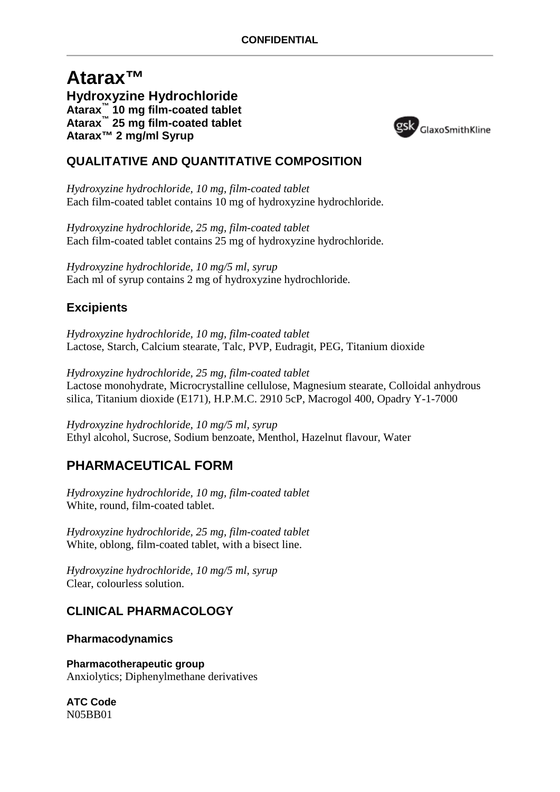# **Atarax™**

**Hydroxyzine Hydrochloride Atarax™ 10 mg film-coated tablet Atarax™ 25 mg film-coated tablet Atarax™ 2 mg/ml Syrup**



## **QUALITATIVE AND QUANTITATIVE COMPOSITION**

*Hydroxyzine hydrochloride, 10 mg, film-coated tablet* Each film-coated tablet contains 10 mg of hydroxyzine hydrochloride.

*Hydroxyzine hydrochloride, 25 mg, film-coated tablet* Each film-coated tablet contains 25 mg of hydroxyzine hydrochloride.

*Hydroxyzine hydrochloride, 10 mg/5 ml, syrup* Each ml of syrup contains 2 mg of hydroxyzine hydrochloride.

# **Excipients**

*Hydroxyzine hydrochloride, 10 mg, film-coated tablet* Lactose, Starch, Calcium stearate, Talc, PVP, Eudragit, PEG, Titanium dioxide

*Hydroxyzine hydrochloride, 25 mg, film-coated tablet*  Lactose monohydrate, Microcrystalline cellulose, Magnesium stearate, Colloidal anhydrous silica, Titanium dioxide (E171), H.P.M.C. 2910 5cP, Macrogol 400, Opadry Y-1-7000

*Hydroxyzine hydrochloride, 10 mg/5 ml, syrup* Ethyl alcohol, Sucrose, Sodium benzoate, Menthol, Hazelnut flavour, Water

# **PHARMACEUTICAL FORM**

*Hydroxyzine hydrochloride, 10 mg, film-coated tablet* White, round, film-coated tablet.

*Hydroxyzine hydrochloride, 25 mg, film-coated tablet* White, oblong, film-coated tablet, with a bisect line.

*Hydroxyzine hydrochloride, 10 mg/5 ml, syrup* Clear, colourless solution.

## **CLINICAL PHARMACOLOGY**

## **Pharmacodynamics**

# **Pharmacotherapeutic group**

Anxiolytics; [Diphenylmethane derivatives](http://www.whocc.no/atc_ddd_index/?code=N05BB)

**ATC Code** N05BB01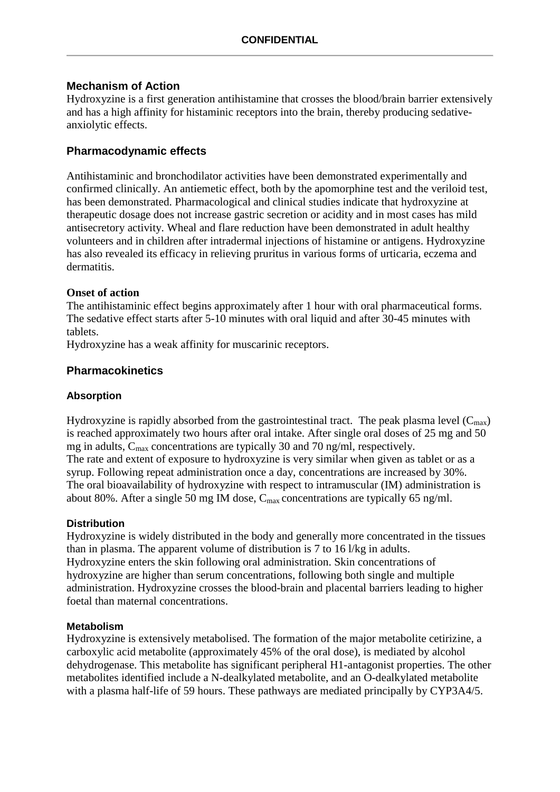#### **Mechanism of Action**

Hydroxyzine is a first generation antihistamine that crosses the blood/brain barrier extensively and has a high affinity for histaminic receptors into the brain, thereby producing sedativeanxiolytic effects.

## **Pharmacodynamic effects**

Antihistaminic and bronchodilator activities have been demonstrated experimentally and confirmed clinically. An antiemetic effect, both by the apomorphine test and the veriloid test, has been demonstrated. Pharmacological and clinical studies indicate that hydroxyzine at therapeutic dosage does not increase gastric secretion or acidity and in most cases has mild antisecretory activity. Wheal and flare reduction have been demonstrated in adult healthy volunteers and in children after intradermal injections of histamine or antigens. Hydroxyzine has also revealed its efficacy in relieving pruritus in various forms of urticaria, eczema and dermatitis.

#### **Onset of action**

The antihistaminic effect begins approximately after 1 hour with oral pharmaceutical forms. The sedative effect starts after 5-10 minutes with oral liquid and after 30-45 minutes with tablets.

Hydroxyzine has a weak affinity for muscarinic receptors.

#### **Pharmacokinetics**

#### **Absorption**

Hydroxyzine is rapidly absorbed from the gastrointestinal tract. The peak plasma level  $(C_{\text{max}})$ is reached approximately two hours after oral intake. After single oral doses of 25 mg and 50 mg in adults, Cmax concentrations are typically 30 and 70 ng/ml, respectively. The rate and extent of exposure to hydroxyzine is very similar when given as tablet or as a syrup. Following repeat administration once a day, concentrations are increased by 30%. The oral bioavailability of hydroxyzine with respect to intramuscular (IM) administration is about 80%. After a single 50 mg IM dose,  $C_{\text{max}}$  concentrations are typically 65 ng/ml.

#### **Distribution**

Hydroxyzine is widely distributed in the body and generally more concentrated in the tissues than in plasma. The apparent volume of distribution is 7 to 16 l/kg in adults. Hydroxyzine enters the skin following oral administration. Skin concentrations of hydroxyzine are higher than serum concentrations, following both single and multiple administration. Hydroxyzine crosses the blood-brain and placental barriers leading to higher foetal than maternal concentrations.

#### **Metabolism**

Hydroxyzine is extensively metabolised. The formation of the major metabolite cetirizine, a carboxylic acid metabolite (approximately 45% of the oral dose), is mediated by alcohol dehydrogenase. This metabolite has significant peripheral H1-antagonist properties. The other metabolites identified include a N-dealkylated metabolite, and an O-dealkylated metabolite with a plasma half-life of 59 hours. These pathways are mediated principally by CYP3A4/5.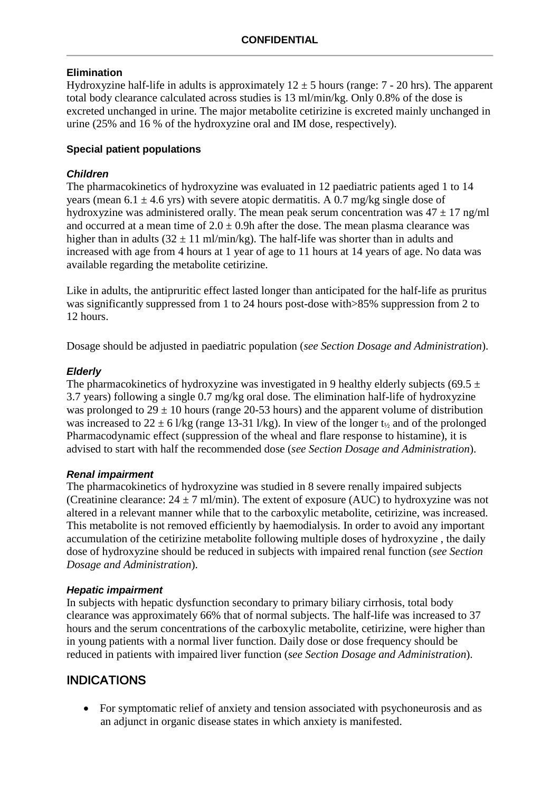## **Elimination**

Hydroxyzine half-life in adults is approximately  $12 \pm 5$  hours (range: 7 - 20 hrs). The apparent total body clearance calculated across studies is 13 ml/min/kg. Only 0.8% of the dose is excreted unchanged in urine. The major metabolite cetirizine is excreted mainly unchanged in urine (25% and 16 % of the hydroxyzine oral and IM dose, respectively).

## **Special patient populations**

## *Children*

The pharmacokinetics of hydroxyzine was evaluated in 12 paediatric patients aged 1 to 14 years (mean  $6.1 \pm 4.6$  yrs) with severe atopic dermatitis. A 0.7 mg/kg single dose of hydroxyzine was administered orally. The mean peak serum concentration was  $47 \pm 17$  ng/ml and occurred at a mean time of  $2.0 \pm 0.9$ h after the dose. The mean plasma clearance was higher than in adults  $(32 \pm 11 \text{ ml/min/kg})$ . The half-life was shorter than in adults and increased with age from 4 hours at 1 year of age to 11 hours at 14 years of age. No data was available regarding the metabolite cetirizine.

Like in adults, the antipruritic effect lasted longer than anticipated for the half-life as pruritus was significantly suppressed from 1 to 24 hours post-dose with  $>85\%$  suppression from 2 to 12 hours.

Dosage should be adjusted in paediatric population (*see Section Dosage and Administration*).

## *Elderly*

The pharmacokinetics of hydroxyzine was investigated in 9 healthy elderly subjects (69.5  $\pm$ 3.7 years) following a single 0.7 mg/kg oral dose. The elimination half-life of hydroxyzine was prolonged to  $29 \pm 10$  hours (range 20-53 hours) and the apparent volume of distribution was increased to  $22 \pm 6$  l/kg (range 13-31 l/kg). In view of the longer t<sub>/2</sub> and of the prolonged Pharmacodynamic effect (suppression of the wheal and flare response to histamine), it is advised to start with half the recommended dose (*see Section Dosage and Administration*).

## *Renal impairment*

The pharmacokinetics of hydroxyzine was studied in 8 severe renally impaired subjects (Creatinine clearance:  $24 \pm 7$  ml/min). The extent of exposure (AUC) to hydroxyzine was not altered in a relevant manner while that to the carboxylic metabolite, cetirizine, was increased. This metabolite is not removed efficiently by haemodialysis. In order to avoid any important accumulation of the cetirizine metabolite following multiple doses of hydroxyzine , the daily dose of hydroxyzine should be reduced in subjects with impaired renal function (*see Section Dosage and Administration*).

## *Hepatic impairment*

In subjects with hepatic dysfunction secondary to primary biliary cirrhosis, total body clearance was approximately 66% that of normal subjects. The half-life was increased to 37 hours and the serum concentrations of the carboxylic metabolite, cetirizine, were higher than in young patients with a normal liver function. Daily dose or dose frequency should be reduced in patients with impaired liver function (*see Section Dosage and Administration*).

# INDICATIONS

• For symptomatic relief of anxiety and tension associated with psychoneurosis and as an adjunct in organic disease states in which anxiety is manifested.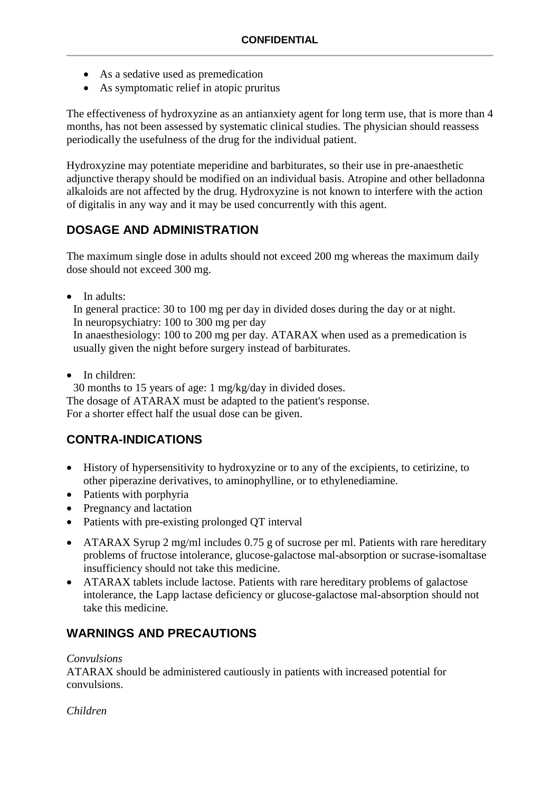- As a sedative used as premedication
- As symptomatic relief in atopic pruritus

The effectiveness of hydroxyzine as an antianxiety agent for long term use, that is more than 4 months, has not been assessed by systematic clinical studies. The physician should reassess periodically the usefulness of the drug for the individual patient.

Hydroxyzine may potentiate meperidine and barbiturates, so their use in pre-anaesthetic adjunctive therapy should be modified on an individual basis. Atropine and other belladonna alkaloids are not affected by the drug. Hydroxyzine is not known to interfere with the action of digitalis in any way and it may be used concurrently with this agent.

# **DOSAGE AND ADMINISTRATION**

The maximum single dose in adults should not exceed 200 mg whereas the maximum daily dose should not exceed 300 mg.

• In adults:

In general practice: 30 to 100 mg per day in divided doses during the day or at night. In neuropsychiatry: 100 to 300 mg per day

In anaesthesiology: 100 to 200 mg per day. ATARAX when used as a premedication is usually given the night before surgery instead of barbiturates.

• In children:

30 months to 15 years of age: 1 mg/kg/day in divided doses. The dosage of ATARAX must be adapted to the patient's response. For a shorter effect half the usual dose can be given.

# **CONTRA-INDICATIONS**

- History of hypersensitivity to hydroxyzine or to any of the excipients, to cetirizine, to other piperazine derivatives, to aminophylline, or to ethylenediamine.
- Patients with porphyria
- Pregnancy and lactation
- Patients with pre-existing prolonged QT interval
- ATARAX Syrup 2 mg/ml includes 0.75 g of sucrose per ml. Patients with rare hereditary problems of fructose intolerance, glucose-galactose mal-absorption or sucrase-isomaltase insufficiency should not take this medicine.
- ATARAX tablets include lactose. Patients with rare hereditary problems of galactose intolerance, the Lapp lactase deficiency or glucose-galactose mal-absorption should not take this medicine.

# **WARNINGS AND PRECAUTIONS**

## *Convulsions*

ATARAX should be administered cautiously in patients with increased potential for convulsions.

*Children*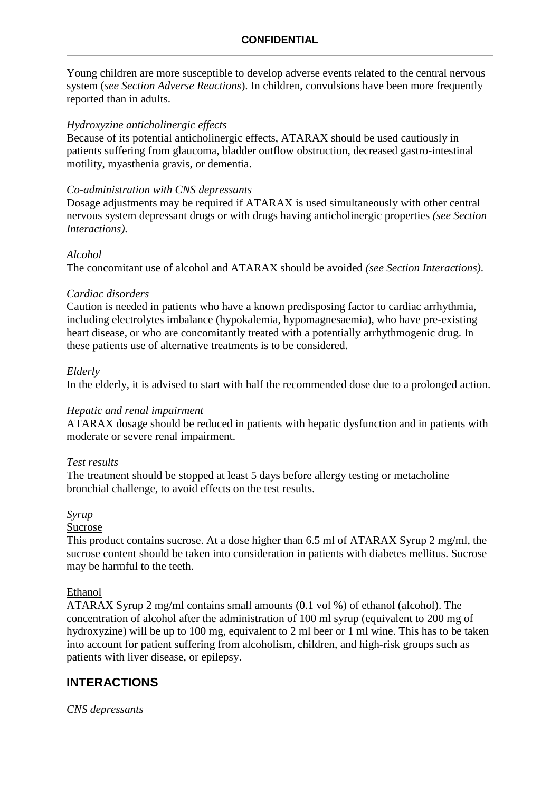Young children are more susceptible to develop adverse events related to the central nervous system (*see Section Adverse Reactions*). In children, convulsions have been more frequently reported than in adults.

#### *Hydroxyzine anticholinergic effects*

Because of its potential anticholinergic effects, ATARAX should be used cautiously in patients suffering from glaucoma, bladder outflow obstruction, decreased gastro-intestinal motility, myasthenia gravis, or dementia.

#### *Co-administration with CNS depressants*

Dosage adjustments may be required if ATARAX is used simultaneously with other central nervous system depressant drugs or with drugs having anticholinergic properties *(see Section Interactions)*.

#### *Alcohol*

The concomitant use of alcohol and ATARAX should be avoided *(see Section Interactions)*.

#### *Cardiac disorders*

Caution is needed in patients who have a known predisposing factor to cardiac arrhythmia, including electrolytes imbalance (hypokalemia, hypomagnesaemia), who have pre-existing heart disease, or who are concomitantly treated with a potentially arrhythmogenic drug. In these patients use of alternative treatments is to be considered.

#### *Elderly*

In the elderly, it is advised to start with half the recommended dose due to a prolonged action.

## *Hepatic and renal impairment*

ATARAX dosage should be reduced in patients with hepatic dysfunction and in patients with moderate or severe renal impairment.

## *Test results*

The treatment should be stopped at least 5 days before allergy testing or metacholine bronchial challenge, to avoid effects on the test results.

## *Syrup*

#### Sucrose

This product contains sucrose. At a dose higher than 6.5 ml of ATARAX Syrup 2 mg/ml, the sucrose content should be taken into consideration in patients with diabetes mellitus. Sucrose may be harmful to the teeth.

## Ethanol

ATARAX Syrup 2 mg/ml contains small amounts (0.1 vol %) of ethanol (alcohol). The concentration of alcohol after the administration of 100 ml syrup (equivalent to 200 mg of hydroxyzine) will be up to 100 mg, equivalent to 2 ml beer or 1 ml wine. This has to be taken into account for patient suffering from alcoholism, children, and high-risk groups such as patients with liver disease, or epilepsy.

# **INTERACTIONS**

*CNS depressants*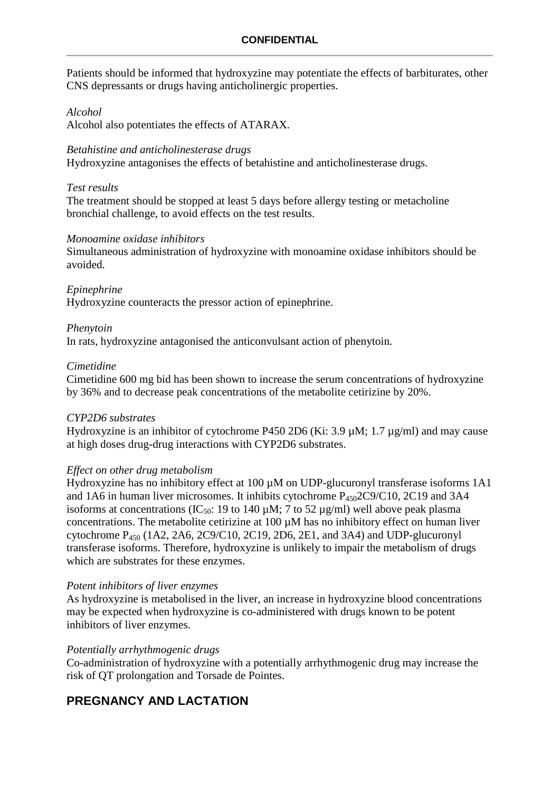#### **CONFIDENTIAL**

Patients should be informed that hydroxyzine may potentiate the effects of barbiturates, other CNS depressants or drugs having anticholinergic properties.

#### *Alcohol*

Alcohol also potentiates the effects of ATARAX.

#### *Betahistine and anticholinesterase drugs*

Hydroxyzine antagonises the effects of betahistine and anticholinesterase drugs.

#### *Test results*

The treatment should be stopped at least 5 days before allergy testing or metacholine bronchial challenge, to avoid effects on the test results.

#### *Monoamine oxidase inhibitors*

Simultaneous administration of hydroxyzine with monoamine oxidase inhibitors should be avoided.

#### *Epinephrine* Hydroxyzine counteracts the pressor action of epinephrine.

#### *Phenytoin*

In rats, hydroxyzine antagonised the anticonvulsant action of phenytoin.

#### *Cimetidine*

Cimetidine 600 mg bid has been shown to increase the serum concentrations of hydroxyzine by 36% and to decrease peak concentrations of the metabolite cetirizine by 20%.

#### *CYP2D6 substrates*

Hydroxyzine is an inhibitor of cytochrome P450 2D6 (Ki: 3.9 µM; 1.7 µg/ml) and may cause at high doses drug-drug interactions with CYP2D6 substrates.

#### *Effect on other drug metabolism*

Hydroxyzine has no inhibitory effect at 100  $\mu$ M on UDP-glucuronyl transferase isoforms 1A1 and 1A6 in human liver microsomes. It inhibits cytochrome  $P_{450}$ 2C9/C10, 2C19 and 3A4 isoforms at concentrations (IC<sub>50</sub>: 19 to 140  $\mu$ M; 7 to 52  $\mu$ g/ml) well above peak plasma concentrations. The metabolite cetirizine at 100 µM has no inhibitory effect on human liver cytochrome  $P_{450}$  (1A2, 2A6, 2C9/C10, 2C19, 2D6, 2E1, and 3A4) and UDP-glucuronyl transferase isoforms. Therefore, hydroxyzine is unlikely to impair the metabolism of drugs which are substrates for these enzymes.

#### *Potent inhibitors of liver enzymes*

As hydroxyzine is metabolised in the liver, an increase in hydroxyzine blood concentrations may be expected when hydroxyzine is co-administered with drugs known to be potent inhibitors of liver enzymes.

#### *Potentially arrhythmogenic drugs*

Co-administration of hydroxyzine with a potentially arrhythmogenic drug may increase the risk of QT prolongation and Torsade de Pointes.

## **PREGNANCY AND LACTATION**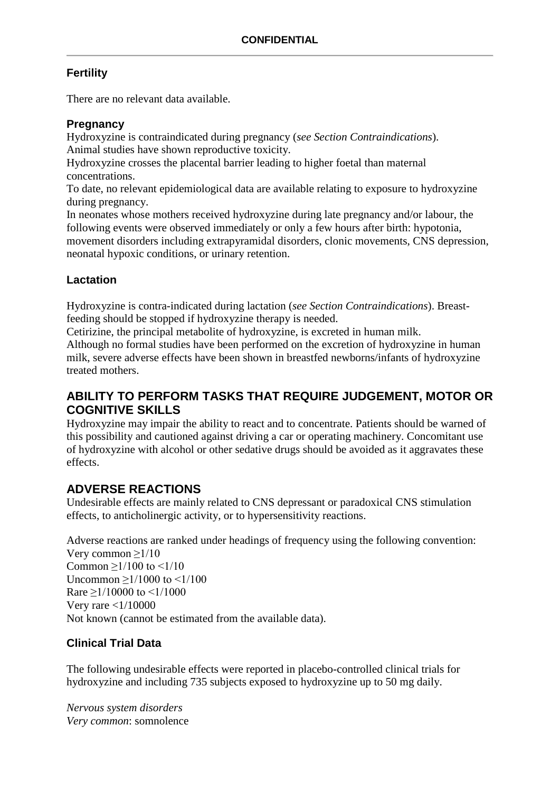# **Fertility**

There are no relevant data available.

# **Pregnancy**

Hydroxyzine is contraindicated during pregnancy (*see Section Contraindications*). Animal studies have shown reproductive toxicity.

Hydroxyzine crosses the placental barrier leading to higher foetal than maternal concentrations.

To date, no relevant epidemiological data are available relating to exposure to hydroxyzine during pregnancy.

In neonates whose mothers received hydroxyzine during late pregnancy and/or labour, the following events were observed immediately or only a few hours after birth: hypotonia, movement disorders including extrapyramidal disorders, clonic movements, CNS depression, neonatal hypoxic conditions, or urinary retention.

# **Lactation**

Hydroxyzine is contra-indicated during lactation (*see Section Contraindications*). Breastfeeding should be stopped if hydroxyzine therapy is needed.

Cetirizine, the principal metabolite of hydroxyzine, is excreted in human milk.

Although no formal studies have been performed on the excretion of hydroxyzine in human milk, severe adverse effects have been shown in breastfed newborns/infants of hydroxyzine treated mothers.

# **ABILITY TO PERFORM TASKS THAT REQUIRE JUDGEMENT, MOTOR OR COGNITIVE SKILLS**

Hydroxyzine may impair the ability to react and to concentrate. Patients should be warned of this possibility and cautioned against driving a car or operating machinery. Concomitant use of hydroxyzine with alcohol or other sedative drugs should be avoided as it aggravates these effects.

# **ADVERSE REACTIONS**

Undesirable effects are mainly related to CNS depressant or paradoxical CNS stimulation effects, to anticholinergic activity, or to hypersensitivity reactions.

Adverse reactions are ranked under headings of frequency using the following convention: Very common ≥1/10 Common  $>1/100$  to  $<1/10$ Uncommon ≥1/1000 to  $\leq$ 1/100 Rare  $>1/10000$  to  $<1/1000$ Very rare  $\langle 1/10000 \rangle$ 

Not known (cannot be estimated from the available data).

# **Clinical Trial Data**

The following undesirable effects were reported in placebo-controlled clinical trials for hydroxyzine and including 735 subjects exposed to hydroxyzine up to 50 mg daily.

*Nervous system disorders Very common*: somnolence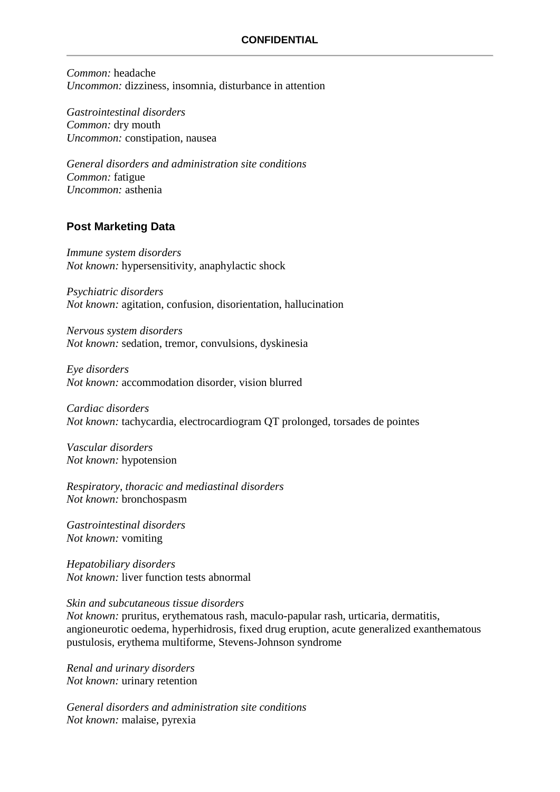*Common:* headache *Uncommon:* dizziness, insomnia, disturbance in attention

*Gastrointestinal disorders Common:* dry mouth *Uncommon:* constipation, nausea

*General disorders and administration site conditions Common:* fatigue *Uncommon:* asthenia

## **Post Marketing Data**

*Immune system disorders Not known:* hypersensitivity, anaphylactic shock

*Psychiatric disorders Not known:* agitation, confusion, disorientation, hallucination

*Nervous system disorders Not known:* sedation, tremor, convulsions, dyskinesia

*Eye disorders Not known:* accommodation disorder, vision blurred

*Cardiac disorders Not known:* tachycardia, electrocardiogram QT prolonged, torsades de pointes

*Vascular disorders Not known:* hypotension

*Respiratory, thoracic and mediastinal disorders Not known:* bronchospasm

*Gastrointestinal disorders Not known:* vomiting

*Hepatobiliary disorders Not known:* liver function tests abnormal

#### *Skin and subcutaneous tissue disorders*

*Not known:* pruritus, erythematous rash, maculo-papular rash, urticaria, dermatitis, angioneurotic oedema, hyperhidrosis, fixed drug eruption, acute generalized exanthematous pustulosis, erythema multiforme, Stevens-Johnson syndrome

*Renal and urinary disorders Not known:* urinary retention

*General disorders and administration site conditions Not known:* malaise, pyrexia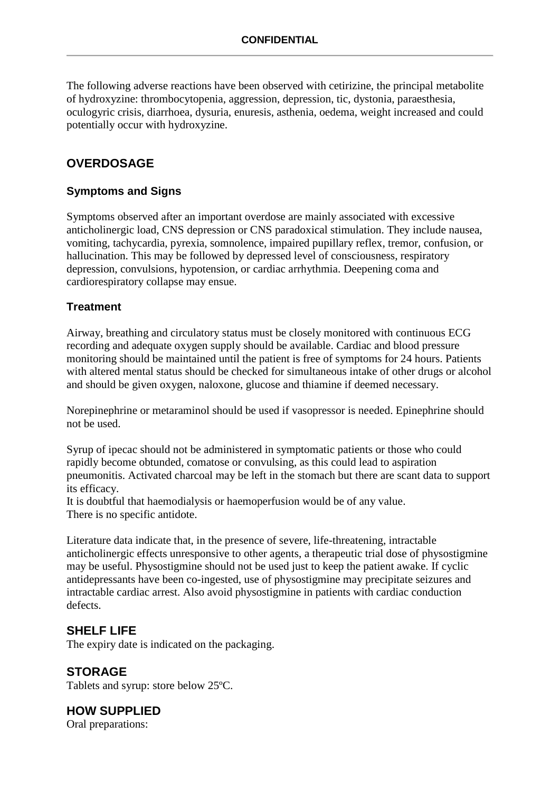The following adverse reactions have been observed with cetirizine, the principal metabolite of hydroxyzine: thrombocytopenia, aggression, depression, tic, dystonia, paraesthesia, oculogyric crisis, diarrhoea, dysuria, enuresis, asthenia, oedema, weight increased and could potentially occur with hydroxyzine.

# **OVERDOSAGE**

## **Symptoms and Signs**

Symptoms observed after an important overdose are mainly associated with excessive anticholinergic load, CNS depression or CNS paradoxical stimulation. They include nausea, vomiting, tachycardia, pyrexia, somnolence, impaired pupillary reflex, tremor, confusion, or hallucination. This may be followed by depressed level of consciousness, respiratory depression, convulsions, hypotension, or cardiac arrhythmia. Deepening coma and cardiorespiratory collapse may ensue.

## **Treatment**

Airway, breathing and circulatory status must be closely monitored with continuous ECG recording and adequate oxygen supply should be available. Cardiac and blood pressure monitoring should be maintained until the patient is free of symptoms for 24 hours. Patients with altered mental status should be checked for simultaneous intake of other drugs or alcohol and should be given oxygen, naloxone, glucose and thiamine if deemed necessary.

Norepinephrine or metaraminol should be used if vasopressor is needed. Epinephrine should not be used.

Syrup of ipecac should not be administered in symptomatic patients or those who could rapidly become obtunded, comatose or convulsing, as this could lead to aspiration pneumonitis. Activated charcoal may be left in the stomach but there are scant data to support its efficacy.

It is doubtful that haemodialysis or haemoperfusion would be of any value. There is no specific antidote.

Literature data indicate that, in the presence of severe, life-threatening, intractable anticholinergic effects unresponsive to other agents, a therapeutic trial dose of physostigmine may be useful. Physostigmine should not be used just to keep the patient awake. If cyclic antidepressants have been co-ingested, use of physostigmine may precipitate seizures and intractable cardiac arrest. Also avoid physostigmine in patients with cardiac conduction defects.

## **SHELF LIFE**

The expiry date is indicated on the packaging.

## **STORAGE**

Tablets and syrup: store below 25ºC.

**HOW SUPPLIED** Oral preparations: